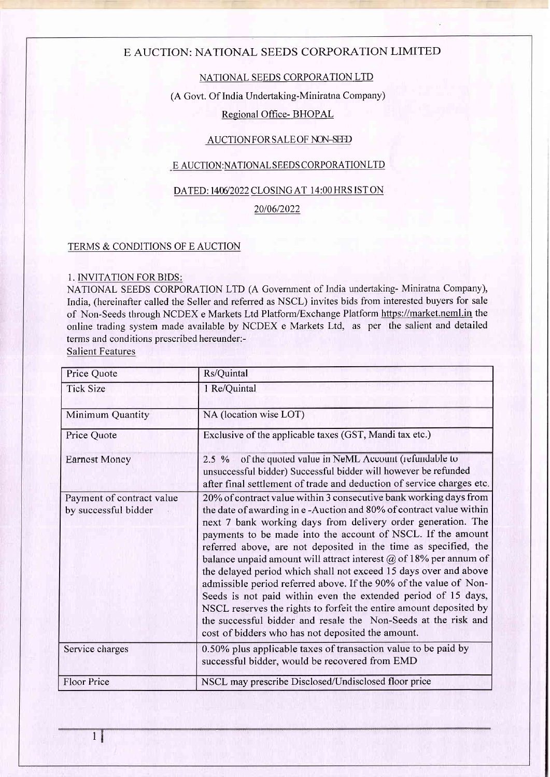## E AUCTION: NATIONAL SEEDS CORPORATION LIMITED

## NATIONAL SEEDS CORPORATION LTD

#### (A Govt. Of India Undertaking-Miniratna Company)

## Regional Office- BHOPAL

## AUCTION FOR SALE OF NON-SEED

## E AUCTION:NATIONAL SEEDS CORPORATION LTD

## DATED: 1406/2022 CLOSING AT 14:00 HRS IST ON

2010612022

#### TERMS & CONDITIONS OF E AUCTION

## 1. INVITATION FORBIDS:

NATIONAL SEEDS CORPORATION LTD (A Govemment of India undertaking- Miniratna Company), India, (hereinafter called the Seller and referred as NSCL) invites bids from interested buyers for sale of Non-Seeds tbrough NCDEX e Markets Ltd Platform/Exchange Platform https://market.neml.in the online trading system made available by NCDEX e Markets Ltd, as per the salient and detailed terms and conditions prescribed hereunder:-

Salient Features

| Price Quote                                       | Rs/Quintal                                                                                                                                                                                                                                                                                                                                                                                                                                                                                                                                                                                                                                                                                                                                                                                                                   |  |
|---------------------------------------------------|------------------------------------------------------------------------------------------------------------------------------------------------------------------------------------------------------------------------------------------------------------------------------------------------------------------------------------------------------------------------------------------------------------------------------------------------------------------------------------------------------------------------------------------------------------------------------------------------------------------------------------------------------------------------------------------------------------------------------------------------------------------------------------------------------------------------------|--|
| <b>Tick Size</b>                                  | 1 Re/Quintal                                                                                                                                                                                                                                                                                                                                                                                                                                                                                                                                                                                                                                                                                                                                                                                                                 |  |
| Minimum Quantity                                  | NA (location wise LOT)                                                                                                                                                                                                                                                                                                                                                                                                                                                                                                                                                                                                                                                                                                                                                                                                       |  |
| Price Quote                                       | Exclusive of the applicable taxes (GST, Mandi tax etc.)                                                                                                                                                                                                                                                                                                                                                                                                                                                                                                                                                                                                                                                                                                                                                                      |  |
| Earnest Money                                     | 2.5 % of the quoted value in NeML Account (refundable to<br>unsuccessful bidder) Successful bidder will however be refunded<br>after final settlement of trade and deduction of service charges etc.                                                                                                                                                                                                                                                                                                                                                                                                                                                                                                                                                                                                                         |  |
| Payment of contract value<br>by successful bidder | 20% of contract value within 3 consecutive bank working days from<br>the date of awarding in e-Auction and 80% of contract value within<br>next 7 bank working days from delivery order generation. The<br>payments to be made into the account of NSCL. If the amount<br>referred above, are not deposited in the time as specified, the<br>balance unpaid amount will attract interest $\omega$ of 18% per annum of<br>the delayed period which shall not exceed 15 days over and above<br>admissible period referred above. If the 90% of the value of Non-<br>Seeds is not paid within even the extended period of 15 days,<br>NSCL reserves the rights to forfeit the entire amount deposited by<br>the successful bidder and resale the Non-Seeds at the risk and<br>cost of bidders who has not deposited the amount. |  |
| Service charges                                   | 0.50% plus applicable taxes of transaction value to be paid by<br>successful bidder, would be recovered from EMD                                                                                                                                                                                                                                                                                                                                                                                                                                                                                                                                                                                                                                                                                                             |  |
| Floor Price                                       | NSCL may prescribe Disclosed/Undisclosed floor price                                                                                                                                                                                                                                                                                                                                                                                                                                                                                                                                                                                                                                                                                                                                                                         |  |

 $\frac{1}{3}$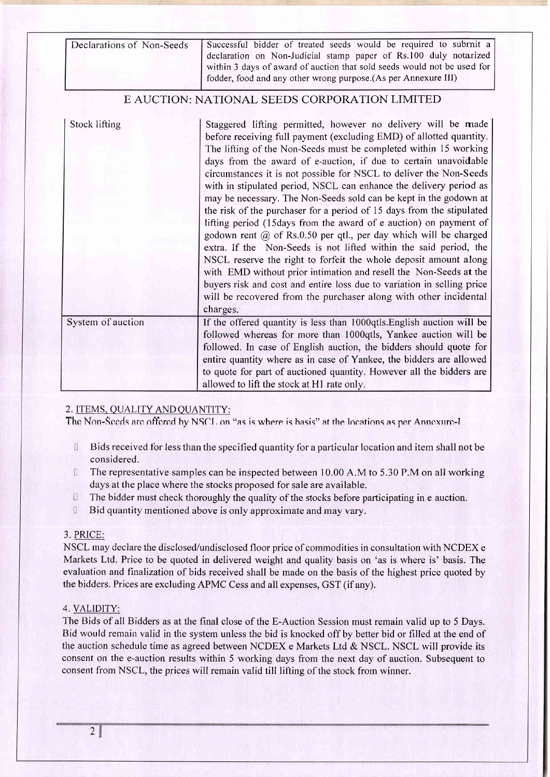| Declarations of Non-Seeds | Successful bidder of treated seeds would be required to submit a<br>declaration on Non-Judicial stamp paper of Rs.100 duly notarized<br>within 3 days of award of auction that sold seeds would not be used for<br>fodder, food and any other wrong purpose.(As per Annexure III)                                                                                                                                                                                                                                                                                                                                                                                                                                                                                                                                                                                                                                                                                                                                                                                                      |
|---------------------------|----------------------------------------------------------------------------------------------------------------------------------------------------------------------------------------------------------------------------------------------------------------------------------------------------------------------------------------------------------------------------------------------------------------------------------------------------------------------------------------------------------------------------------------------------------------------------------------------------------------------------------------------------------------------------------------------------------------------------------------------------------------------------------------------------------------------------------------------------------------------------------------------------------------------------------------------------------------------------------------------------------------------------------------------------------------------------------------|
|                           | E AUCTION: NATIONAL SEEDS CORPORATION LIMITED                                                                                                                                                                                                                                                                                                                                                                                                                                                                                                                                                                                                                                                                                                                                                                                                                                                                                                                                                                                                                                          |
| Stock lifting             | Staggered lifting permitted, however no delivery will be made<br>before receiving full payment (excluding EMD) of allotted quantity.<br>The lifting of the Non-Seeds must be completed within 15 working<br>days from the award of e-auction, if due to certain unavoidable<br>circumstances it is not possible for NSCL to deliver the Non-Seeds<br>with in stipulated period, NSCL can enhance the delivery period as<br>may be necessary. The Non-Seeds sold can be kept in the godown at<br>the risk of the purchaser for a period of 15 days from the stipulated<br>lifting period (15days from the award of e auction) on payment of<br>godown rent @ of Rs.0.50 per qtl., per day which will be charged<br>extra. If the Non-Seeds is not lifted within the said period, the<br>NSCL reserve the right to forfeit the whole deposit amount along<br>with EMD without prior intimation and resell the Non-Seeds at the<br>buyers risk and cost and entire loss due to variation in selling price<br>will be recovered from the purchaser along with other incidental<br>charges. |
| System of auction         | If the offered quantity is less than 1000qtls. English auction will be<br>followed whereas for more than 1000qtls, Yankee auction will be<br>followed. In case of English auction, the bidders should quote for<br>entire quantity where as in case of Yankee, the bidders are allowed<br>to quote for part of auctioned quantity. However all the bidders are<br>allowed to lift the stock at H1 rate only.                                                                                                                                                                                                                                                                                                                                                                                                                                                                                                                                                                                                                                                                           |

## 2. ITEMS, QUALITY AND QUANTITY:

The Non-Seeds are offered by NSCL on "as is where is hasis" at the locations as per Annexure-I

- $\begin{array}{c} \square \end{array}$ Bids received for less than the specified quantity for a particular location and item shall not be considered.
- $\mathbb{R}$ The representative samples can be inspected between 10.00 A.M to 5.30 P.M on all working days at the place where the stocks proposed for sale are available.
- $\begin{array}{c} \square \end{array}$ The bidder must check thoroughly the quality of the stocks before participating in e auction.
- $\begin{bmatrix} 1 \\ 2 \end{bmatrix}$ Bid quantity mentioned above is only approximate and may vary.

#### 3. PRICE:

NSCL may declare the disclosed/undisclosed floor price of commodities in consultation with NCDEX e Markets Ltd. Price to be quoted in delivered weight and quality basis on 'as is where is' basis. The evaluation and finalization of bids received shall be made on the basis of the highest price quoted by the bidders. Prices are excluding APMC Cess and all expenses, GST (if any).

#### 4. VALIDITY:

The Bids of all Bidders as at the final close of the E-Auction Session must remain valid up to 5 Days. Bid would remain valid in the system unless the bid is knocked off by better bid or filled at the end of the auction schedule time as agreed between NCDEX e Markets Ltd & NSCL. NSCL will provide its consent on the e-auction results within 5 working days from the next day of auction. Subsequent to consent from NSCL, the prices will remain valid till lifting of the stock from winner.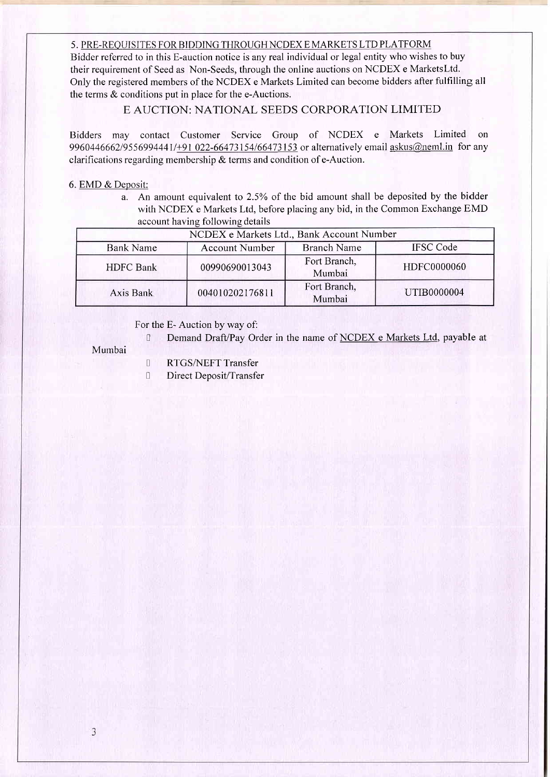#### 5. PRE-REOUISITES FOR BIDDING THROUGHNCDEX E MARKETS LTD PLATFORM

Bidder referred to in this E-auction notice is any real individual or legal entity who wishes to buy their requirement of Seed as Non-Seeds, through the online auctions on NCDEX e MarketsLtd. Only the registered members of the NCDEX e Markets Limited can become bidders after fulfilling all the terms  $&$  conditions put in place for the e-Auctions.

## E, AUCTION: NATIONAL SEEDS CORPORATION LIMITED

Bidders may contact Customer Service Group of NCDEX e Markets Limited on 9960446662/9556994441/+91 022-66473154/66473153 or alternatively email askus@neml.in for any clarifications regarding membership & terms and condition of e-Auction.

#### 6. EMD & Deposit:

a. An amount equivalent to 2.5% of the bid amount shall be deposited by the bidder with NCDEX e Markets Ltd, before placing any bid, in the Common Exchange EMD account having following details

| NCDEX e Markets Ltd., Bank Account Number |                                                                 |                        |             |  |
|-------------------------------------------|-----------------------------------------------------------------|------------------------|-------------|--|
| <b>Bank Name</b>                          | <b>Branch Name</b><br><b>IFSC Code</b><br><b>Account Number</b> |                        |             |  |
| <b>HDFC</b> Bank                          | 00990690013043                                                  | Fort Branch,<br>Mumbai | HDFC0000060 |  |
| Axis Bank                                 | 004010202176811                                                 | Fort Branch,<br>Mumbai | UTIB0000004 |  |

## For the E- Auction by way of:

D Demand Draft/Pay Order in the name of NCDEX e Markets Ltd, payable at

#### Mumbai

- **I** RTGS/NEFT Transfer
- **I** Direct Deposit/Transfer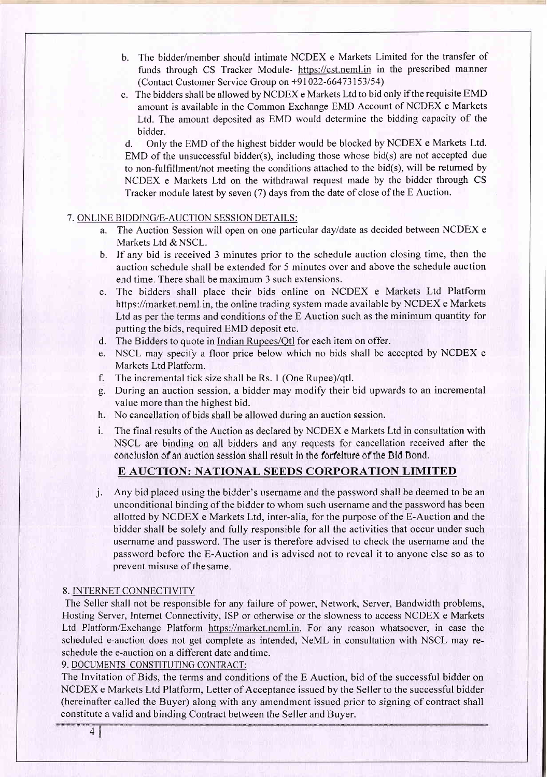- b. The bidder/member should intimate NCDEX e Markets Limited for the transfer of funds through CS Tracker Module- https://cst.neml.in in the prescribed manner (Contact Customer Service Group on +91 022-66473153154)
- c. The bidders shall be allowed by NCDEX e Markets Ltd to bid only if the requisite EMD amount is available in the Common Exchange EMD Account of NCDEX e Markets Ltd. The amount deposited as EMD would determine the bidding capacity of the bidder.

d. Only the EMD of the highest bidder would be blocked by NCDEX e Markets Ltd. EMD of the unsuccessful bidder(s), including those whose bid(s) are not accepted due to non-fulfillment/not meeting the conditions attached to the bid(s), will be returned by NCDEX e Markets Ltd on the withdrawal request made by the bidder through CS Tracker module latest by seven (7) days from the date of close of the E Auction.

#### 7. ONLINE BIDDING/E-AUCTION SESSIONDETAILS:

- a. The Auction Session will open on one particular dayldate as decided between NCDEX <sup>e</sup> Markets Ltd & NSCL.
- b. If any bid is received 3 minutes prior to the schedule auction closing time, then the auction schedule shall be extended for 5 minutes over and above the schedule auction end time. There shall be maximum 3 such extensions.
- c. The bidders shall place their bids online on NCDEX e Markets Ltd Platform https://market.neml.in, the online trading system made available by NCDEX e Markets Ltd as per the terms and conditions of the E Auction such as the minimum quantity for putting the bids, required EMD deposit etc.
- d. The Bidders to quote in Indian Rupees/Qtl for each item on offer.
- e. NSCL may specify a floor price below which no bids shall be accepted by NCDEX <sup>e</sup> Markets Ltd Platform.
- f. The incremental tick size shall be Rs. I (One Rupee)/qtl.
- g. During an auction session, a bidder may modify their bid upwards to an incremental value more than the highest bid.
- h. No cancellation of bids shall be allowed during an auction session.
- i. The final results of the Auction as declared by NCDEX e Markets Ltd in consultation with NSCL are binding on all bidders and any requests for cancellation received after the conclusion of an auction session shall result in the forfeiture of the Bid Bond.

## E AUCTION: NATIONAL SEEDS CORPORATION LIMITED

j. Any bid placed using the bidder's username and the password shall be deemed to be an unconditional binding of the bidder to whom such username and the password has been allotted by NCDEX e Markets Ltd, inter-alia, for the purpose of the E-Auction and the bidder shall be solely and fully responsible for all the activities that occur under such username and password. The user is therefore advised to check the username and the password before the E-Auction and is advised not to reveal it to anyone else so as to prevent misuse of thesame.

#### 8. INTERNET CONNECTIVITY

The Seller shall not be responsible for any failure of power, Network, Server, Bandwidth problems, Hosting Server, Internet Connectivity, ISP or otherwise or the slowness to access NCDEX e Markets Ltd Platform/Exchange Platform https://market.neml.in. For any reason whatsoever, in case the scheduled e-auction does not get complete as intended, NeML in consultation with NSCL may reschedule the e-auction on a different date andtime.

## 9. DOCUMENTS CONSTITUTING CONTRACT:

The Invitation of Bids, the terms and conditions of the E Auction, bid of the successful bidder on NCDEX e Markets Ltd Platform, Letter of Acceptance issued by the Seller to the successful bidder (hereinafter called the Buyer) along with any amendment issued prior to signing of contract shall constitute a valid and bindine Contract between the Seller and Buyer.

4&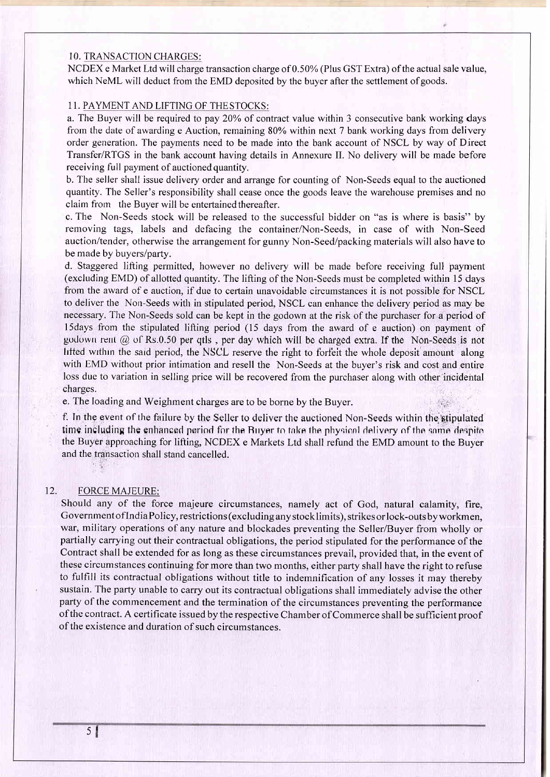#### <sup>1</sup>O. TRANSACTION CHARGES:

NCDEX e Market Ltd will charge transaction charge of 0.50% (Plus GST Extra) of the actual sale value, which NeML will deduct from the EMD deposited by the buyer after the settlement of goods.

## 11. PAYMENT AND LIFTING OF THESTOCKS:

a. The Buyer will be required to pay 20% of contract value within 3 consecutive bank working days frorn the date of awarding e Auction, remaining 80% within next 7 bank working days from delivery order generation. The payments need to be made into the bank account of NSCL by way of Direct Transfer/RTGS in the bank account having details in Annexure II. No delivery will be made before receiving full payrnent of auctioned quantity.

b. The seller shall issue delivery order and arrange for counting of Non-Seeds equal to the auctioned quantity. The Seller's responsibility shall cease once the goods leave the warehouse premises and no claim from the Buyer will be entertained thereafter.

c. The Non-Seeds stock will be released to the successful bidder on "as is where is basis" by removing tags, labels and defacing the container/Non-Seeds, in case of with Non-Seed auction/tender, otherwise the arrangement for gunny Non-Seed/packing materials will also have to be made by buyers/party.

d. Staggered lifting permitted, however no delivery will be made before receiving full payment (excluding EMD) of allotted quantity. The lifting of the Non-Seeds must be completed within 15 days from the award of e auction, if due to certain unavoidable circumstances it is not possible for NSCL to deliver the Non-Seeds with in stipulated period, NSCL can enhance the delivery period as may be necessary. The Non-Seeds sold can be kept in the godown at the risk of the purchaser for a period of l5days from the stipulated lifting period (15 days from the award of e auction) on payment of guduwn rent  $\omega$  of Rs.0.50 per qtls, per day which will be charged extra. If the Non-Seeds is not hitted within the said period, the NSCL reserve the right to forfeit the whole deposit amount along with EMD without prior intimation and resell the Non-Seeds at the buyer's risk and cost and entire loss due to variation in selling price will be recovered from the purchaser along with other'incidental charges.

e. The loading and Weighment charges are to be borne by the Buyer.

f. In the event of the failure by the Seller to deliver the auctioned Non-Seeds within the stipulated time including the enhanced period for the Buyer to take the physical delivery of the same despite the Buyer approaching for lifting, NCDEX e Markets Ltd shall refund the EMD amount to the Buyer and the transaction shall stand cancelled

## 12. FORCE MAJEURE:

Should any of the force majeure circumstances, namely act of God, natural calamity, fire, Government oflndiaPolicy, restrictions (excluding any stocklimits), strikes or lock-outs byworkmen, war, military operations of any nature and blockades preventing the Seller/Buyer from wholly or partially carrying out their contractual obligations, the period stipulated for the performance of the Contract shall be extended for as long as these circumstances prevail, provided that, in the event of these circumstances continuing for more than two months, either party shall have the right to refuse to fulfill its contractual obligations without title to indemnification of any losses it may thereby sustain. The party unable to carry out its contractual obligations shall immediately advise the other party of the commencement and the termination of the circumstances preventing the performance of the contract. A certificate issued by the respective Chamber of Commerce shall be sufficient proof of the existence and duration of such circumstances.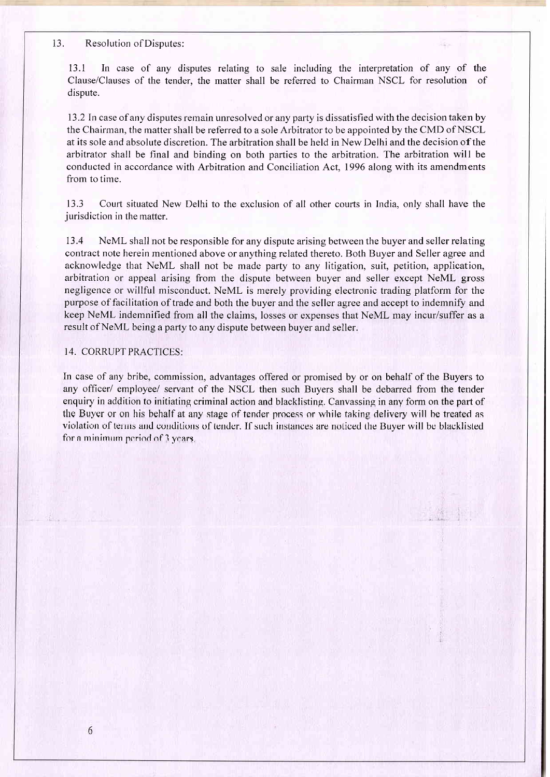#### 13. Resolution ofDisputes:

13.1 In case of any disputes relating to sale including the interpretation of any of the Clause/Clauses of the tender. the matter shall be referred to Chairman NSCL for resolution of dispute.

<sup>13</sup>.2 In case of any disputes remain unresolved or any party is dissatisfied with the decision taken by the Chairman, the matter shall be referred to a sole Arbitrator to be appointed by the CMD of NSCL at its sole and absolute discretion. The arbitration shall be held in New Delhi and the decision of the arbitrator shall be final and binding on both parties to the arbitration. The arbitration will be conducted in accordance with Arbitration and Conciliation Act, 1996 along with its amendments from to time.

13.3 Court situated New Delhi to the exclusion of all other courts in India, only shall have the jurisdiction in the matter.

13.4 NeML shall not be responsible for any dispute arising between the buyer and seller relating contract note herein mentioned above or anything related thereto. Both Buyer and Seller agree and acknowledge that NeML shall not be made party to any litigation, suit, petition, application, arbitration or appeal arising from the dispute between buyer and seller except NeML gross negligence or willful misconduct. NeML is merely providing electronic trading platform for the purpose of facilitation of trade and both the buyer and the seller agree and accept to indemnify and keep NeML indemnified from all the claims, losses or expenses that NeML may incur/suffer as a result of NeML being a party to any dispute between buyer and seller.

## 14. CORRUPT PRACTICES:

In case of any bribe, commission, advantages offered or promised by or on behalf of the Buyers to any officer/ employee/ servant of the NSCL then such Buyers shall be debarred from the tender enquiry in addition to initiating criminal action and blacklisting. Canvassing in any form on the part of the Buyer or on his hehalf at any stage of fender nrocess or while faking delivery will he freated as violation of terms and conditions of tender. If such instances are noticed the Buyer will be blacklisted for a minimum period of  $\frac{1}{2}$  years,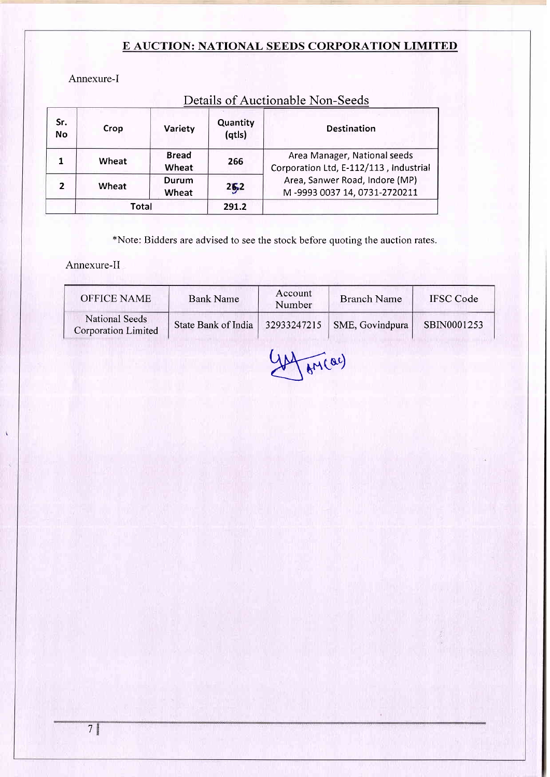## E AUCTION: NATIONAL SEEDS CORPORATION LIMITED

Annexure-I

| Sr.<br><b>No</b> | <b>Crop</b>  | Variety               | Quantity<br>(qtls) | <b>Destination</b>                                                     |
|------------------|--------------|-----------------------|--------------------|------------------------------------------------------------------------|
|                  | Wheat        | <b>Bread</b><br>Wheat | 266                | Area Manager, National seeds<br>Corporation Ltd, E-112/113, Industrial |
|                  | Wheat        | Durum<br>Wheat        | 26,2               | Area, Sanwer Road, Indore (MP)<br>M-9993 0037 14, 0731-2720211         |
|                  | <b>Total</b> |                       | 291.2              |                                                                        |

# Details of Auctionable Non-Seeds

\*Note: Bidders are advised to see the stock before quoting the auction rates.

Annexure-II

| <b>OFFICE NAME</b>                                  | <b>Bank Name</b>    | Account<br>Number | <b>Branch Name</b>            | <b>IFSC</b> Code |
|-----------------------------------------------------|---------------------|-------------------|-------------------------------|------------------|
| <b>National Seeds</b><br><b>Corporation Limited</b> | State Bank of India |                   | $32933247215$ SME, Govindpura | SBIN0001253      |

 $\sqrt{M(ac)}$